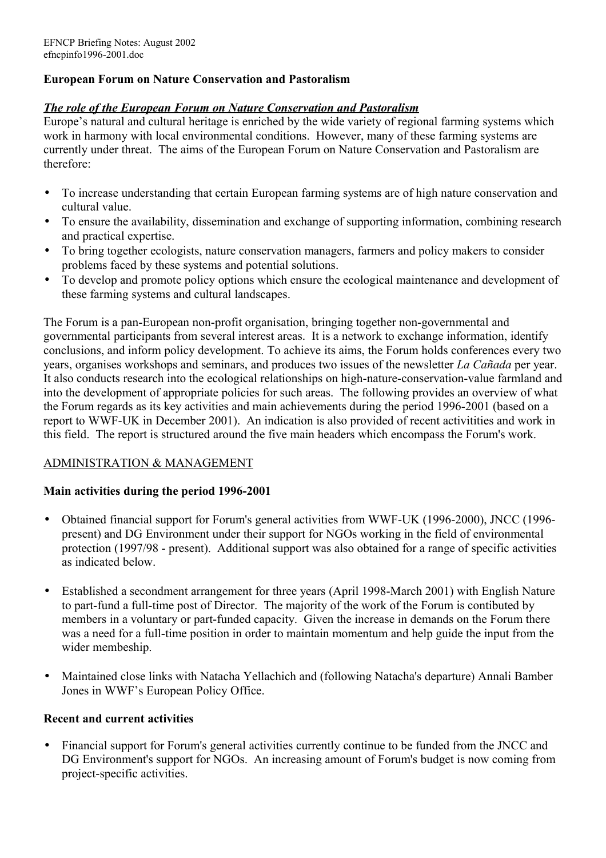# **European Forum on Nature Conservation and Pastoralism**

### *The role of the European Forum on Nature Conservation and Pastoralism*

Europe's natural and cultural heritage is enriched by the wide variety of regional farming systems which work in harmony with local environmental conditions. However, many of these farming systems are currently under threat. The aims of the European Forum on Nature Conservation and Pastoralism are therefore:

- To increase understanding that certain European farming systems are of high nature conservation and cultural value.
- To ensure the availability, dissemination and exchange of supporting information, combining research and practical expertise.
- To bring together ecologists, nature conservation managers, farmers and policy makers to consider problems faced by these systems and potential solutions.
- To develop and promote policy options which ensure the ecological maintenance and development of these farming systems and cultural landscapes.

The Forum is a pan-European non-profit organisation, bringing together non-governmental and governmental participants from several interest areas. It is a network to exchange information, identify conclusions, and inform policy development. To achieve its aims, the Forum holds conferences every two years, organises workshops and seminars, and produces two issues of the newsletter *La Cañada* per year. It also conducts research into the ecological relationships on high-nature-conservation-value farmland and into the development of appropriate policies for such areas. The following provides an overview of what the Forum regards as its key activities and main achievements during the period 1996-2001 (based on a report to WWF-UK in December 2001). An indication is also provided of recent activitities and work in this field. The report is structured around the five main headers which encompass the Forum's work.

### ADMINISTRATION & MANAGEMENT

### **Main activities during the period 1996-2001**

- Obtained financial support for Forum's general activities from WWF-UK (1996-2000), JNCC (1996 present) and DG Environment under their support for NGOs working in the field of environmental protection (1997/98 - present). Additional support was also obtained for a range of specific activities as indicated below.
- Established a secondment arrangement for three years (April 1998-March 2001) with English Nature to part-fund a full-time post of Director. The majority of the work of the Forum is contibuted by members in a voluntary or part-funded capacity. Given the increase in demands on the Forum there was a need for a full-time position in order to maintain momentum and help guide the input from the wider membeship.
- Maintained close links with Natacha Yellachich and (following Natacha's departure) Annali Bamber Jones in WWF's European Policy Office.

### **Recent and current activities**

• Financial support for Forum's general activities currently continue to be funded from the JNCC and DG Environment's support for NGOs. An increasing amount of Forum's budget is now coming from project-specific activities.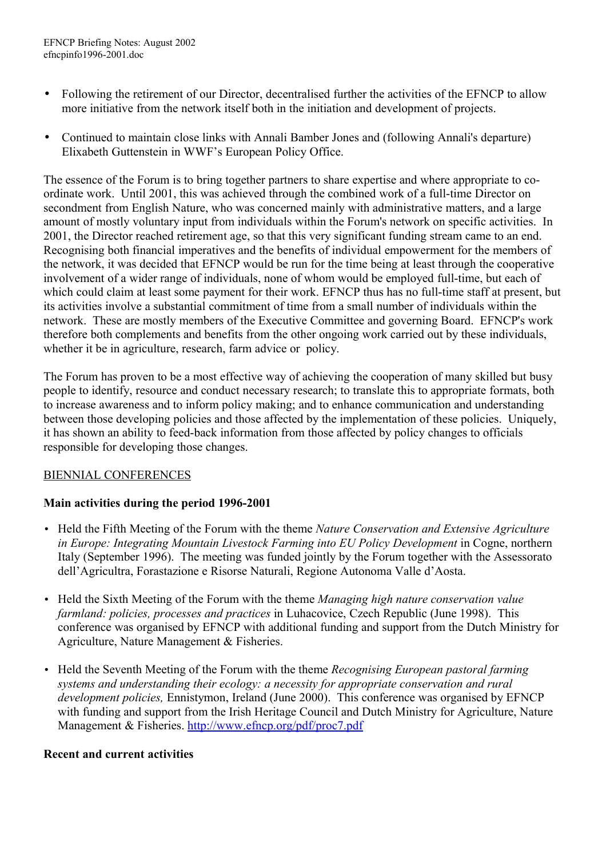- Following the retirement of our Director, decentralised further the activities of the EFNCP to allow more initiative from the network itself both in the initiation and development of projects.
- Continued to maintain close links with Annali Bamber Jones and (following Annali's departure) Elixabeth Guttenstein in WWF's European Policy Office.

The essence of the Forum is to bring together partners to share expertise and where appropriate to coordinate work. Until 2001, this was achieved through the combined work of a full-time Director on secondment from English Nature, who was concerned mainly with administrative matters, and a large amount of mostly voluntary input from individuals within the Forum's network on specific activities. In 2001, the Director reached retirement age, so that this very significant funding stream came to an end. Recognising both financial imperatives and the benefits of individual empowerment for the members of the network, it was decided that EFNCP would be run for the time being at least through the cooperative involvement of a wider range of individuals, none of whom would be employed full-time, but each of which could claim at least some payment for their work. EFNCP thus has no full-time staff at present, but its activities involve a substantial commitment of time from a small number of individuals within the network. These are mostly members of the Executive Committee and governing Board. EFNCP's work therefore both complements and benefits from the other ongoing work carried out by these individuals, whether it be in agriculture, research, farm advice or policy.

The Forum has proven to be a most effective way of achieving the cooperation of many skilled but busy people to identify, resource and conduct necessary research; to translate this to appropriate formats, both to increase awareness and to inform policy making; and to enhance communication and understanding between those developing policies and those affected by the implementation of these policies. Uniquely, it has shown an ability to feed-back information from those affected by policy changes to officials responsible for developing those changes.

# BIENNIAL CONFERENCES

# **Main activities during the period 1996-2001**

- Held the Fifth Meeting of the Forum with the theme *Nature Conservation and Extensive Agriculture in Europe: Integrating Mountain Livestock Farming into EU Policy Development* in Cogne, northern Italy (September 1996). The meeting was funded jointly by the Forum together with the Assessorato dell'Agricultra, Forastazione e Risorse Naturali, Regione Autonoma Valle d'Aosta.
- Held the Sixth Meeting of the Forum with the theme *Managing high nature conservation value farmland: policies, processes and practices* in Luhacovice, Czech Republic (June 1998). This conference was organised by EFNCP with additional funding and support from the Dutch Ministry for Agriculture, Nature Management & Fisheries.
- Held the Seventh Meeting of the Forum with the theme *Recognising European pastoral farming systems and understanding their ecology: a necessity for appropriate conservation and rural development policies,* Ennistymon, Ireland (June 2000). This conference was organised by EFNCP with funding and support from the Irish Heritage Council and Dutch Ministry for Agriculture, Nature Management & Fisheries.<http://www.efncp.org/pdf/proc7.pdf>

### **Recent and current activities**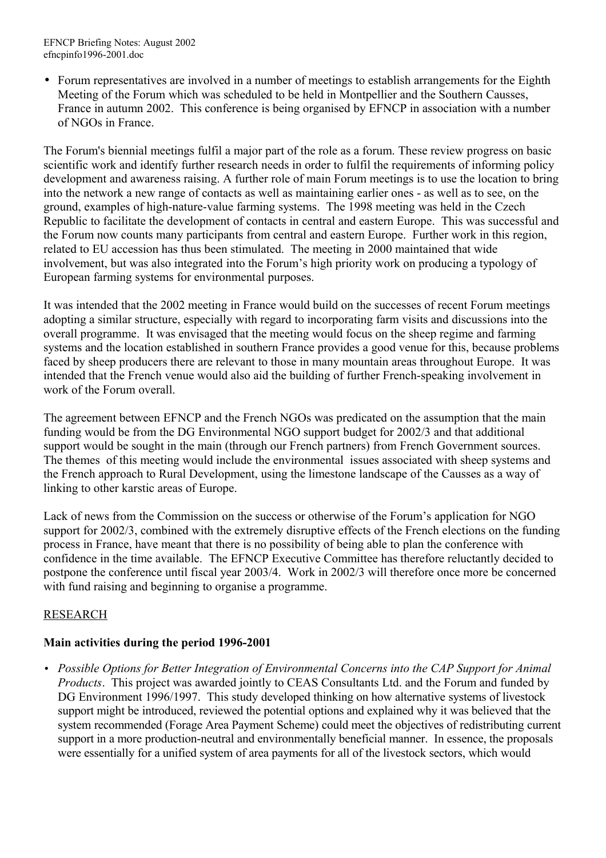• Forum representatives are involved in a number of meetings to establish arrangements for the Eighth Meeting of the Forum which was scheduled to be held in Montpellier and the Southern Causses, France in autumn 2002. This conference is being organised by EFNCP in association with a number of NGOs in France.

The Forum's biennial meetings fulfil a major part of the role as a forum. These review progress on basic scientific work and identify further research needs in order to fulfil the requirements of informing policy development and awareness raising. A further role of main Forum meetings is to use the location to bring into the network a new range of contacts as well as maintaining earlier ones - as well as to see, on the ground, examples of high-nature-value farming systems. The 1998 meeting was held in the Czech Republic to facilitate the development of contacts in central and eastern Europe. This was successful and the Forum now counts many participants from central and eastern Europe. Further work in this region, related to EU accession has thus been stimulated. The meeting in 2000 maintained that wide involvement, but was also integrated into the Forum's high priority work on producing a typology of European farming systems for environmental purposes.

It was intended that the 2002 meeting in France would build on the successes of recent Forum meetings adopting a similar structure, especially with regard to incorporating farm visits and discussions into the overall programme. It was envisaged that the meeting would focus on the sheep regime and farming systems and the location established in southern France provides a good venue for this, because problems faced by sheep producers there are relevant to those in many mountain areas throughout Europe. It was intended that the French venue would also aid the building of further French-speaking involvement in work of the Forum overall

The agreement between EFNCP and the French NGOs was predicated on the assumption that the main funding would be from the DG Environmental NGO support budget for 2002/3 and that additional support would be sought in the main (through our French partners) from French Government sources. The themes of this meeting would include the environmental issues associated with sheep systems and the French approach to Rural Development, using the limestone landscape of the Causses as a way of linking to other karstic areas of Europe.

Lack of news from the Commission on the success or otherwise of the Forum's application for NGO support for 2002/3, combined with the extremely disruptive effects of the French elections on the funding process in France, have meant that there is no possibility of being able to plan the conference with confidence in the time available. The EFNCP Executive Committee has therefore reluctantly decided to postpone the conference until fiscal year 2003/4. Work in 2002/3 will therefore once more be concerned with fund raising and beginning to organise a programme.

# RESEARCH

### **Main activities during the period 1996-2001**

• *Possible Options for Better Integration of Environmental Concerns into the CAP Support for Animal Products*. This project was awarded jointly to CEAS Consultants Ltd. and the Forum and funded by DG Environment 1996/1997. This study developed thinking on how alternative systems of livestock support might be introduced, reviewed the potential options and explained why it was believed that the system recommended (Forage Area Payment Scheme) could meet the objectives of redistributing current support in a more production-neutral and environmentally beneficial manner. In essence, the proposals were essentially for a unified system of area payments for all of the livestock sectors, which would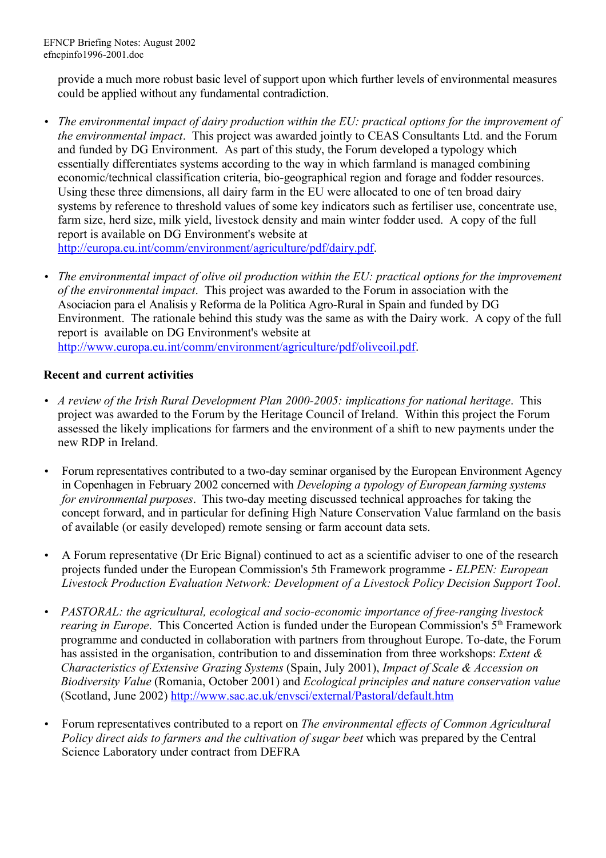provide a much more robust basic level of support upon which further levels of environmental measures could be applied without any fundamental contradiction.

- *The environmental impact of dairy production within the EU: practical options for the improvement of the environmental impact*. This project was awarded jointly to CEAS Consultants Ltd. and the Forum and funded by DG Environment. As part of this study, the Forum developed a typology which essentially differentiates systems according to the way in which farmland is managed combining economic/technical classification criteria, bio-geographical region and forage and fodder resources. Using these three dimensions, all dairy farm in the EU were allocated to one of ten broad dairy systems by reference to threshold values of some key indicators such as fertiliser use, concentrate use, farm size, herd size, milk yield, livestock density and main winter fodder used. A copy of the full report is available on DG Environment's website at http://europa.eu.int/comm/environment/agriculture/pdf/dairy.pdf.
- *The environmental impact of olive oil production within the EU: practical options for the improvement of the environmental impact*. This project was awarded to the Forum in association with the Asociacion para el Analisis y Reforma de la Politica Agro-Rural in Spain and funded by DG Environment. The rationale behind this study was the same as with the Dairy work. A copy of the full report is available on DG Environment's website at http://www.europa.eu.int/comm/environment/agriculture/pdf/oliveoil.pdf.

### **Recent and current activities**

- *A review of the Irish Rural Development Plan 2000-2005: implications for national heritage*. This project was awarded to the Forum by the Heritage Council of Ireland. Within this project the Forum assessed the likely implications for farmers and the environment of a shift to new payments under the new RDP in Ireland.
- Forum representatives contributed to a two-day seminar organised by the European Environment Agency in Copenhagen in February 2002 concerned with *Developing a typology of European farming systems for environmental purposes*. This two-day meeting discussed technical approaches for taking the concept forward, and in particular for defining High Nature Conservation Value farmland on the basis of available (or easily developed) remote sensing or farm account data sets.
- A Forum representative (Dr Eric Bignal) continued to act as a scientific adviser to one of the research projects funded under the European Commission's 5th Framework programme - *ELPEN: European Livestock Production Evaluation Network: Development of a Livestock Policy Decision Support Tool*.
- *PASTORAL: the agricultural, ecological and socio-economic importance of free-ranging livestock rearing in Europe.* This Concerted Action is funded under the European Commission's 5<sup>th</sup> Framework programme and conducted in collaboration with partners from throughout Europe. To-date, the Forum has assisted in the organisation, contribution to and dissemination from three workshops: *Extent & Characteristics of Extensive Grazing Systems* (Spain, July 2001), *Impact of Scale & Accession on Biodiversity Value* (Romania, October 2001) and *Ecological principles and nature conservation value* (Scotland, June 2002)<http://www.sac.ac.uk/envsci/external/Pastoral/default.htm>
- Forum representatives contributed to a report on *The environmental effects of Common Agricultural Policy direct aids to farmers and the cultivation of sugar beet* which was prepared by the Central Science Laboratory under contract from DEFRA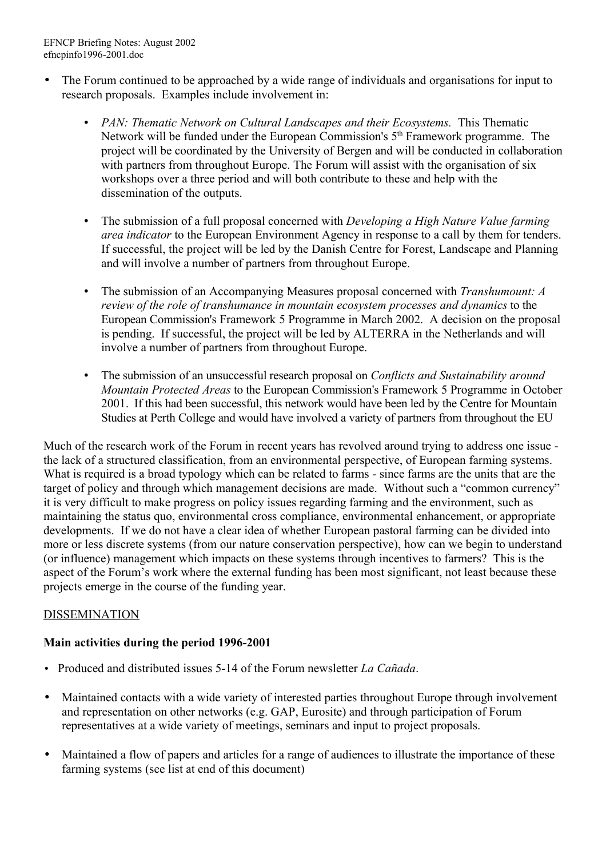- The Forum continued to be approached by a wide range of individuals and organisations for input to research proposals. Examples include involvement in:
	- *PAN: Thematic Network on Cultural Landscapes and their Ecosystems.* This Thematic Network will be funded under the European Commission's  $5<sup>th</sup>$  Framework programme. The project will be coordinated by the University of Bergen and will be conducted in collaboration with partners from throughout Europe. The Forum will assist with the organisation of six workshops over a three period and will both contribute to these and help with the dissemination of the outputs.
	- The submission of a full proposal concerned with *Developing a High Nature Value farming area indicator* to the European Environment Agency in response to a call by them for tenders. If successful, the project will be led by the Danish Centre for Forest, Landscape and Planning and will involve a number of partners from throughout Europe.
	- The submission of an Accompanying Measures proposal concerned with *Transhumount: A review of the role of transhumance in mountain ecosystem processes and dynamics* to the European Commission's Framework 5 Programme in March 2002. A decision on the proposal is pending. If successful, the project will be led by ALTERRA in the Netherlands and will involve a number of partners from throughout Europe.
	- The submission of an unsuccessful research proposal on *Conflicts and Sustainability around Mountain Protected Areas* to the European Commission's Framework 5 Programme in October 2001. If this had been successful, this network would have been led by the Centre for Mountain Studies at Perth College and would have involved a variety of partners from throughout the EU

Much of the research work of the Forum in recent years has revolved around trying to address one issue the lack of a structured classification, from an environmental perspective, of European farming systems. What is required is a broad typology which can be related to farms - since farms are the units that are the target of policy and through which management decisions are made. Without such a "common currency" it is very difficult to make progress on policy issues regarding farming and the environment, such as maintaining the status quo, environmental cross compliance, environmental enhancement, or appropriate developments. If we do not have a clear idea of whether European pastoral farming can be divided into more or less discrete systems (from our nature conservation perspective), how can we begin to understand (or influence) management which impacts on these systems through incentives to farmers? This is the aspect of the Forum's work where the external funding has been most significant, not least because these projects emerge in the course of the funding year.

# DISSEMINATION

# **Main activities during the period 1996-2001**

- Produced and distributed issues 5-14 of the Forum newsletter *La Cañada*.
- Maintained contacts with a wide variety of interested parties throughout Europe through involvement and representation on other networks (e.g. GAP, Eurosite) and through participation of Forum representatives at a wide variety of meetings, seminars and input to project proposals.
- Maintained a flow of papers and articles for a range of audiences to illustrate the importance of these farming systems (see list at end of this document)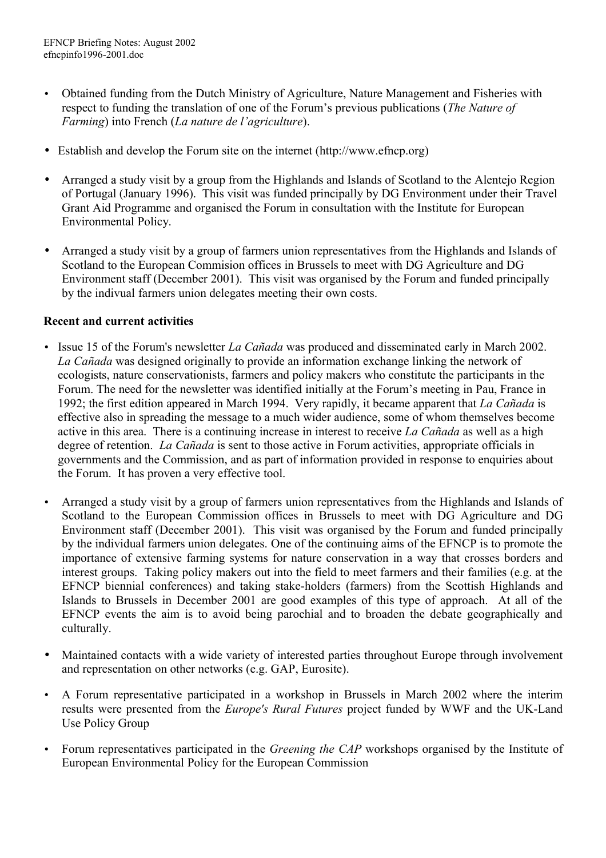- Obtained funding from the Dutch Ministry of Agriculture, Nature Management and Fisheries with respect to funding the translation of one of the Forum's previous publications (*The Nature of Farming*) into French (*La nature de l'agriculture*).
- Establish and develop the Forum site on the internet (http://www.efncp.org)
- Arranged a study visit by a group from the Highlands and Islands of Scotland to the Alentejo Region of Portugal (January 1996). This visit was funded principally by DG Environment under their Travel Grant Aid Programme and organised the Forum in consultation with the Institute for European Environmental Policy.
- Arranged a study visit by a group of farmers union representatives from the Highlands and Islands of Scotland to the European Commision offices in Brussels to meet with DG Agriculture and DG Environment staff (December 2001). This visit was organised by the Forum and funded principally by the indivual farmers union delegates meeting their own costs.

### **Recent and current activities**

- Issue 15 of the Forum's newsletter *La Cañada* was produced and disseminated early in March 2002. *La Cañada* was designed originally to provide an information exchange linking the network of ecologists, nature conservationists, farmers and policy makers who constitute the participants in the Forum. The need for the newsletter was identified initially at the Forum's meeting in Pau, France in 1992; the first edition appeared in March 1994. Very rapidly, it became apparent that *La Cañada* is effective also in spreading the message to a much wider audience, some of whom themselves become active in this area. There is a continuing increase in interest to receive *La Cañada* as well as a high degree of retention. *La Cañada* is sent to those active in Forum activities, appropriate officials in governments and the Commission, and as part of information provided in response to enquiries about the Forum. It has proven a very effective tool.
- Arranged a study visit by a group of farmers union representatives from the Highlands and Islands of Scotland to the European Commission offices in Brussels to meet with DG Agriculture and DG Environment staff (December 2001). This visit was organised by the Forum and funded principally by the individual farmers union delegates. One of the continuing aims of the EFNCP is to promote the importance of extensive farming systems for nature conservation in a way that crosses borders and interest groups. Taking policy makers out into the field to meet farmers and their families (e.g. at the EFNCP biennial conferences) and taking stake-holders (farmers) from the Scottish Highlands and Islands to Brussels in December 2001 are good examples of this type of approach. At all of the EFNCP events the aim is to avoid being parochial and to broaden the debate geographically and culturally.
- Maintained contacts with a wide variety of interested parties throughout Europe through involvement and representation on other networks (e.g. GAP, Eurosite).
- A Forum representative participated in a workshop in Brussels in March 2002 where the interim results were presented from the *Europe's Rural Futures* project funded by WWF and the UK-Land Use Policy Group
- Forum representatives participated in the *Greening the CAP* workshops organised by the Institute of European Environmental Policy for the European Commission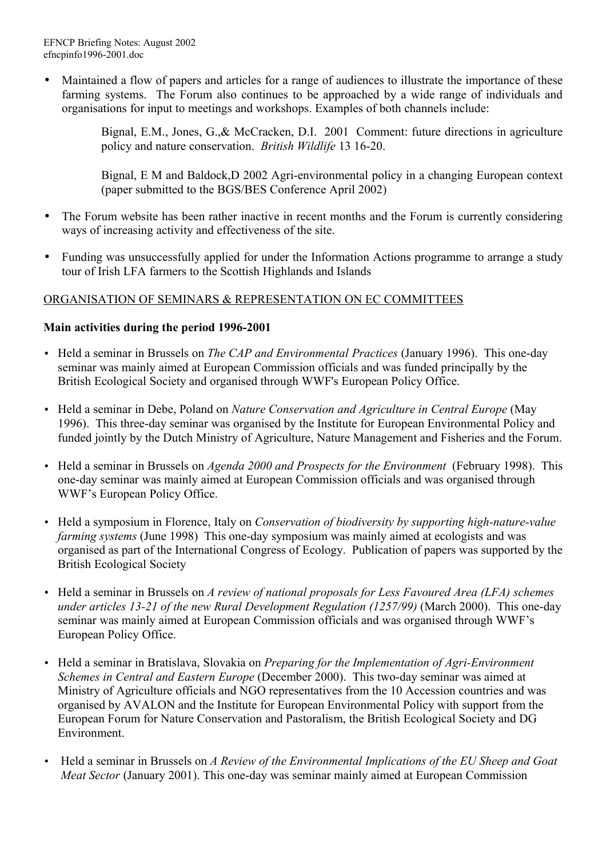• Maintained a flow of papers and articles for a range of audiences to illustrate the importance of these farming systems. The Forum also continues to be approached by a wide range of individuals and organisations for input to meetings and workshops. Examples of both channels include:

> Bignal, E.M., Jones, G.,& McCracken, D.I. 2001 Comment: future directions in agriculture policy and nature conservation. *British Wildlife* 13 16-20.

> Bignal, E M and Baldock,D 2002 Agri-environmental policy in a changing European context (paper submitted to the BGS/BES Conference April 2002)

- The Forum website has been rather inactive in recent months and the Forum is currently considering ways of increasing activity and effectiveness of the site.
- Funding was unsuccessfully applied for under the Information Actions programme to arrange a study tour of Irish LFA farmers to the Scottish Highlands and Islands

### ORGANISATION OF SEMINARS & REPRESENTATION ON EC COMMITTEES

### **Main activities during the period 1996-2001**

- Held a seminar in Brussels on *The CAP and Environmental Practices* (January 1996). This one-day seminar was mainly aimed at European Commission officials and was funded principally by the British Ecological Society and organised through WWF's European Policy Office.
- Held a seminar in Debe, Poland on *Nature Conservation and Agriculture in Central Europe* (May 1996). This three-day seminar was organised by the Institute for European Environmental Policy and funded jointly by the Dutch Ministry of Agriculture, Nature Management and Fisheries and the Forum.
- Held a seminar in Brussels on *Agenda 2000 and Prospects for the Environment* (February 1998). This one-day seminar was mainly aimed at European Commission officials and was organised through WWF's European Policy Office.
- Held a symposium in Florence, Italy on *Conservation of biodiversity by supporting high-nature-value farming systems* (June 1998) This one-day symposium was mainly aimed at ecologists and was organised as part of the International Congress of Ecology. Publication of papers was supported by the British Ecological Society
- Held a seminar in Brussels on *A review of national proposals for Less Favoured Area (LFA) schemes under articles 13-21 of the new Rural Development Regulation (1257/99)* (March 2000). This one-day seminar was mainly aimed at European Commission officials and was organised through WWF's European Policy Office.
- Held a seminar in Bratislava, Slovakia on *Preparing for the Implementation of Agri-Environment Schemes in Central and Eastern Europe* (December 2000). This two-day seminar was aimed at Ministry of Agriculture officials and NGO representatives from the 10 Accession countries and was organised by AVALON and the Institute for European Environmental Policy with support from the European Forum for Nature Conservation and Pastoralism, the British Ecological Society and DG Environment.
- Held a seminar in Brussels on *A Review of the Environmental Implications of the EU Sheep and Goat Meat Sector* (January 2001). This one-day was seminar mainly aimed at European Commission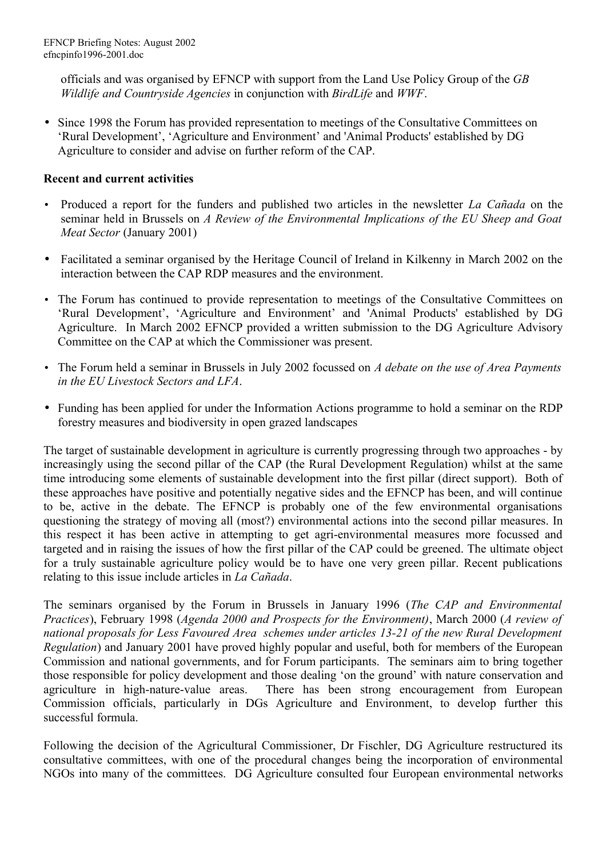officials and was organised by EFNCP with support from the Land Use Policy Group of the *GB Wildlife and Countryside Agencies* in conjunction with *BirdLife* and *WWF*.

• Since 1998 the Forum has provided representation to meetings of the Consultative Committees on 'Rural Development', 'Agriculture and Environment' and 'Animal Products' established by DG Agriculture to consider and advise on further reform of the CAP.

### **Recent and current activities**

- Produced a report for the funders and published two articles in the newsletter *La Cañada* on the seminar held in Brussels on *A Review of the Environmental Implications of the EU Sheep and Goat Meat Sector* (January 2001)
- Facilitated a seminar organised by the Heritage Council of Ireland in Kilkenny in March 2002 on the interaction between the CAP RDP measures and the environment.
- The Forum has continued to provide representation to meetings of the Consultative Committees on 'Rural Development', 'Agriculture and Environment' and 'Animal Products' established by DG Agriculture. In March 2002 EFNCP provided a written submission to the DG Agriculture Advisory Committee on the CAP at which the Commissioner was present.
- The Forum held a seminar in Brussels in July 2002 focussed on *A debate on the use of Area Payments in the EU Livestock Sectors and LFA*.
- Funding has been applied for under the Information Actions programme to hold a seminar on the RDP forestry measures and biodiversity in open grazed landscapes

The target of sustainable development in agriculture is currently progressing through two approaches - by increasingly using the second pillar of the CAP (the Rural Development Regulation) whilst at the same time introducing some elements of sustainable development into the first pillar (direct support). Both of these approaches have positive and potentially negative sides and the EFNCP has been, and will continue to be, active in the debate. The EFNCP is probably one of the few environmental organisations questioning the strategy of moving all (most?) environmental actions into the second pillar measures. In this respect it has been active in attempting to get agri-environmental measures more focussed and targeted and in raising the issues of how the first pillar of the CAP could be greened. The ultimate object for a truly sustainable agriculture policy would be to have one very green pillar. Recent publications relating to this issue include articles in *La Cañada*.

The seminars organised by the Forum in Brussels in January 1996 (*The CAP and Environmental Practices*), February 1998 (*Agenda 2000 and Prospects for the Environment)*, March 2000 (*A review of national proposals for Less Favoured Area schemes under articles 13-21 of the new Rural Development Regulation*) and January 2001 have proved highly popular and useful, both for members of the European Commission and national governments, and for Forum participants. The seminars aim to bring together those responsible for policy development and those dealing 'on the ground' with nature conservation and agriculture in high-nature-value areas. There has been strong encouragement from European Commission officials, particularly in DGs Agriculture and Environment, to develop further this successful formula.

Following the decision of the Agricultural Commissioner, Dr Fischler, DG Agriculture restructured its consultative committees, with one of the procedural changes being the incorporation of environmental NGOs into many of the committees. DG Agriculture consulted four European environmental networks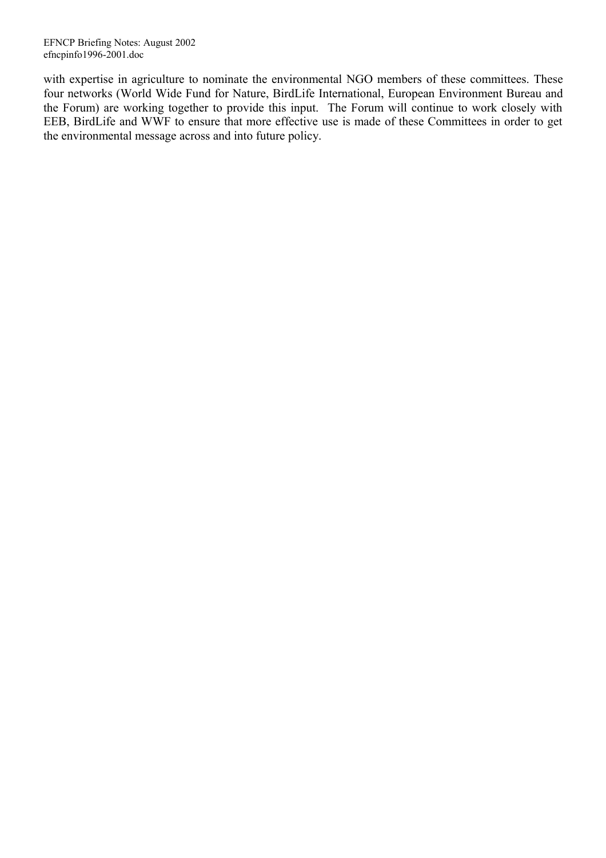with expertise in agriculture to nominate the environmental NGO members of these committees. These four networks (World Wide Fund for Nature, BirdLife International, European Environment Bureau and the Forum) are working together to provide this input. The Forum will continue to work closely with EEB, BirdLife and WWF to ensure that more effective use is made of these Committees in order to get the environmental message across and into future policy.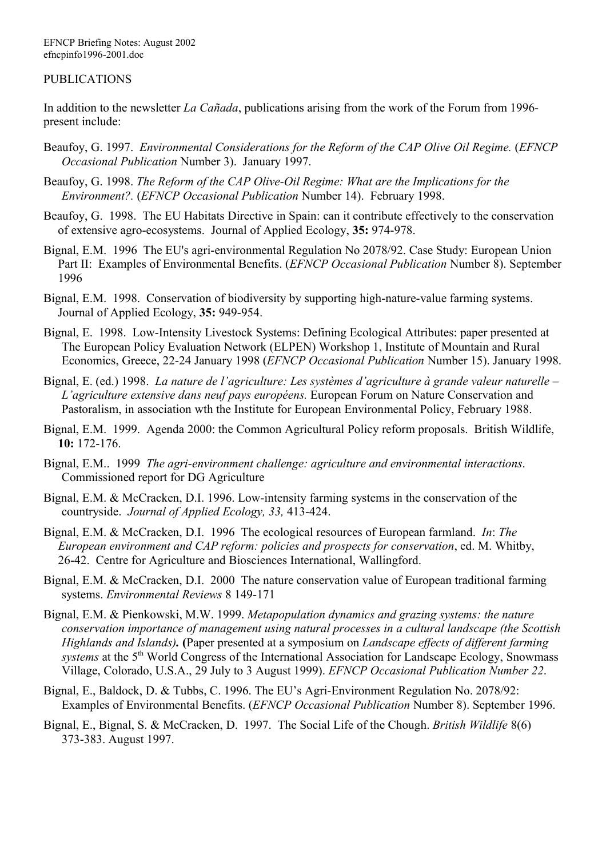#### PUBLICATIONS

In addition to the newsletter *La Cañada*, publications arising from the work of the Forum from 1996 present include:

- Beaufoy, G. 1997. *Environmental Considerations for the Reform of the CAP Olive Oil Regime.* (*EFNCP Occasional Publication* Number 3). January 1997.
- Beaufoy, G. 1998. *The Reform of the CAP Olive-Oil Regime: What are the Implications for the Environment?.* (*EFNCP Occasional Publication* Number 14). February 1998.
- Beaufoy, G. 1998. The EU Habitats Directive in Spain: can it contribute effectively to the conservation of extensive agro-ecosystems. Journal of Applied Ecology, **35:** 974-978.
- Bignal, E.M. 1996 The EU's agri-environmental Regulation No 2078/92. Case Study: European Union Part II: Examples of Environmental Benefits. (*EFNCP Occasional Publication* Number 8). September 1996
- Bignal, E.M. 1998. Conservation of biodiversity by supporting high-nature-value farming systems. Journal of Applied Ecology, **35:** 949-954.
- Bignal, E. 1998. Low-Intensity Livestock Systems: Defining Ecological Attributes: paper presented at The European Policy Evaluation Network (ELPEN) Workshop 1, Institute of Mountain and Rural Economics, Greece, 22-24 January 1998 (*EFNCP Occasional Publication* Number 15). January 1998.
- Bignal, E. (ed.) 1998. *La nature de l'agriculture: Les systèmes d'agriculture à grande valeur naturelle – L'agriculture extensive dans neuf pays européens.* European Forum on Nature Conservation and Pastoralism, in association wth the Institute for European Environmental Policy, February 1988.
- Bignal, E.M. 1999. Agenda 2000: the Common Agricultural Policy reform proposals. British Wildlife, **10:** 172-176.
- Bignal, E.M.. 1999 *The agri-environment challenge: agriculture and environmental interactions*. Commissioned report for DG Agriculture
- Bignal, E.M. & McCracken, D.I. 1996. Low-intensity farming systems in the conservation of the countryside. *Journal of Applied Ecology, 33,* 413-424.
- Bignal, E.M. & McCracken, D.I. 1996 The ecological resources of European farmland. *In*: *The European environment and CAP reform: policies and prospects for conservation*, ed. M. Whitby, 26-42. Centre for Agriculture and Biosciences International, Wallingford.
- Bignal, E.M. & McCracken, D.I. 2000 The nature conservation value of European traditional farming systems. *Environmental Reviews* 8 149-171
- Bignal, E.M. & Pienkowski, M.W. 1999. *Metapopulation dynamics and grazing systems: the nature conservation importance of management using natural processes in a cultural landscape (the Scottish Highlands and Islands).* **(**Paper presented at a symposium on *Landscape effects of different farming systems* at the 5<sup>th</sup> World Congress of the International Association for Landscape Ecology, Snowmass Village, Colorado, U.S.A., 29 July to 3 August 1999). *EFNCP Occasional Publication Number 22*.
- Bignal, E., Baldock, D. & Tubbs, C. 1996. The EU's Agri-Environment Regulation No. 2078/92: Examples of Environmental Benefits. (*EFNCP Occasional Publication* Number 8). September 1996.
- Bignal, E., Bignal, S. & McCracken, D. 1997. The Social Life of the Chough. *British Wildlife* 8(6) 373-383. August 1997.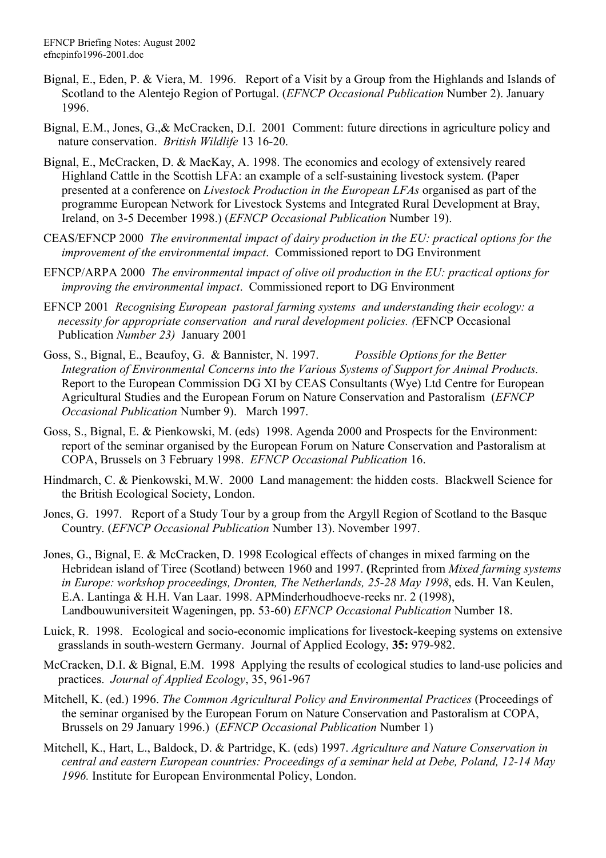- Bignal, E., Eden, P. & Viera, M. 1996. Report of a Visit by a Group from the Highlands and Islands of Scotland to the Alentejo Region of Portugal. (*EFNCP Occasional Publication* Number 2). January 1996.
- Bignal, E.M., Jones, G.,& McCracken, D.I. 2001 Comment: future directions in agriculture policy and nature conservation. *British Wildlife* 13 16-20.
- Bignal, E., McCracken, D. & MacKay, A. 1998. The economics and ecology of extensively reared Highland Cattle in the Scottish LFA: an example of a self-sustaining livestock system. **(**Paper presented at a conference on *Livestock Production in the European LFAs* organised as part of the programme European Network for Livestock Systems and Integrated Rural Development at Bray, Ireland, on 3-5 December 1998.) (*EFNCP Occasional Publication* Number 19).
- CEAS/EFNCP 2000 *The environmental impact of dairy production in the EU: practical options for the improvement of the environmental impact*. Commissioned report to DG Environment
- EFNCP/ARPA 2000 *The environmental impact of olive oil production in the EU: practical options for improving the environmental impact*. Commissioned report to DG Environment
- EFNCP 2001 *Recognising European pastoral farming systems and understanding their ecology: a necessity for appropriate conservation and rural development policies. (*EFNCP Occasional Publication *Number 23)* January 2001
- Goss, S., Bignal, E., Beaufoy, G. & Bannister, N. 1997. *Possible Options for the Better Integration of Environmental Concerns into the Various Systems of Support for Animal Products.* Report to the European Commission DG XI by CEAS Consultants (Wye) Ltd Centre for European Agricultural Studies and the European Forum on Nature Conservation and Pastoralism (*EFNCP Occasional Publication* Number 9). March 1997.
- Goss, S., Bignal, E. & Pienkowski, M. (eds) 1998. Agenda 2000 and Prospects for the Environment: report of the seminar organised by the European Forum on Nature Conservation and Pastoralism at COPA, Brussels on 3 February 1998. *EFNCP Occasional Publication* 16.
- Hindmarch, C. & Pienkowski, M.W. 2000 Land management: the hidden costs. Blackwell Science for the British Ecological Society, London.
- Jones, G. 1997. Report of a Study Tour by a group from the Argyll Region of Scotland to the Basque Country. (*EFNCP Occasional Publication* Number 13). November 1997.
- Jones, G., Bignal, E. & McCracken, D. 1998 Ecological effects of changes in mixed farming on the Hebridean island of Tiree (Scotland) between 1960 and 1997. **(**Reprinted from *Mixed farming systems in Europe: workshop proceedings, Dronten, The Netherlands, 25-28 May 1998*, eds. H. Van Keulen, E.A. Lantinga & H.H. Van Laar. 1998. APMinderhoudhoeve-reeks nr. 2 (1998), Landbouwuniversiteit Wageningen, pp. 53-60) *EFNCP Occasional Publication* Number 18.
- Luick, R. 1998. Ecological and socio-economic implications for livestock-keeping systems on extensive grasslands in south-western Germany. Journal of Applied Ecology, **35:** 979-982.
- McCracken, D.I. & Bignal, E.M. 1998 Applying the results of ecological studies to land-use policies and practices. *Journal of Applied Ecology*, 35, 961-967
- Mitchell, K. (ed.) 1996. *The Common Agricultural Policy and Environmental Practices* (Proceedings of the seminar organised by the European Forum on Nature Conservation and Pastoralism at COPA, Brussels on 29 January 1996.) (*EFNCP Occasional Publication* Number 1)
- Mitchell, K., Hart, L., Baldock, D. & Partridge, K. (eds) 1997. *Agriculture and Nature Conservation in central and eastern European countries: Proceedings of a seminar held at Debe, Poland, 12-14 May 1996.* Institute for European Environmental Policy, London.